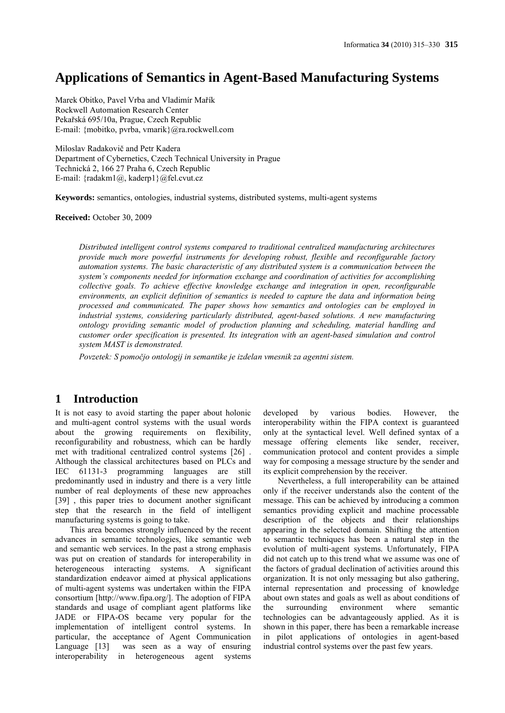# **Applications of Semantics in Agent-Based Manufacturing Systems**

Marek Obitko, Pavel Vrba and Vladimír Mařík Rockwell Automation Research Center Pekařská 695/10a, Prague, Czech Republic E-mail: {mobitko, pvrba, vmarik}@ra.rockwell.com

Miloslav Radakovič and Petr Kadera Department of Cybernetics, Czech Technical University in Prague Technická 2, 166 27 Praha 6, Czech Republic E-mail: {radakm1@, kaderp1}@fel.cvut.cz

**Keywords:** semantics, ontologies, industrial systems, distributed systems, multi-agent systems

**Received:** October 30, 2009

*Distributed intelligent control systems compared to traditional centralized manufacturing architectures provide much more powerful instruments for developing robust, flexible and reconfigurable factory automation systems. The basic characteristic of any distributed system is a communication between the system's components needed for information exchange and coordination of activities for accomplishing collective goals. To achieve effective knowledge exchange and integration in open, reconfigurable environments, an explicit definition of semantics is needed to capture the data and information being processed and communicated. The paper shows how semantics and ontologies can be employed in industrial systems, considering particularly distributed, agent-based solutions. A new manufacturing ontology providing semantic model of production planning and scheduling, material handling and customer order specification is presented. Its integration with an agent-based simulation and control system MAST is demonstrated.*

*Povzetek: S pomočjo ontologij in semantike je izdelan vmesnik za agentni sistem.*

# **1 Introduction**

It is not easy to avoid starting the paper about holonic and multi-agent control systems with the usual words about the growing requirements on flexibility, reconfigurability and robustness, which can be hardly met with traditional centralized control systems [26] . Although the classical architectures based on PLCs and IEC 61131-3 programming languages are still predominantly used in industry and there is a very little number of real deployments of these new approaches [39], this paper tries to document another significant step that the research in the field of intelligent manufacturing systems is going to take.

This area becomes strongly influenced by the recent advances in semantic technologies, like semantic web and semantic web services. In the past a strong emphasis was put on creation of standards for interoperability in heterogeneous interacting systems. A significant standardization endeavor aimed at physical applications of multi-agent systems was undertaken within the FIPA consortium [http://www.fipa.org/]. The adoption of FIPA standards and usage of compliant agent platforms like JADE or FIPA-OS became very popular for the implementation of intelligent control systems. In particular, the acceptance of Agent Communication Language [13] was seen as a way of ensuring interoperability in heterogeneous agent systems

developed by various bodies. However, the interoperability within the FIPA context is guaranteed only at the syntactical level. Well defined syntax of a message offering elements like sender, receiver, communication protocol and content provides a simple way for composing a message structure by the sender and its explicit comprehension by the receiver.

Nevertheless, a full interoperability can be attained only if the receiver understands also the content of the message. This can be achieved by introducing a common semantics providing explicit and machine processable description of the objects and their relationships appearing in the selected domain. Shifting the attention to semantic techniques has been a natural step in the evolution of multi-agent systems. Unfortunately, FIPA did not catch up to this trend what we assume was one of the factors of gradual declination of activities around this organization. It is not only messaging but also gathering, internal representation and processing of knowledge about own states and goals as well as about conditions of the surrounding environment where semantic technologies can be advantageously applied. As it is shown in this paper, there has been a remarkable increase in pilot applications of ontologies in agent-based industrial control systems over the past few years.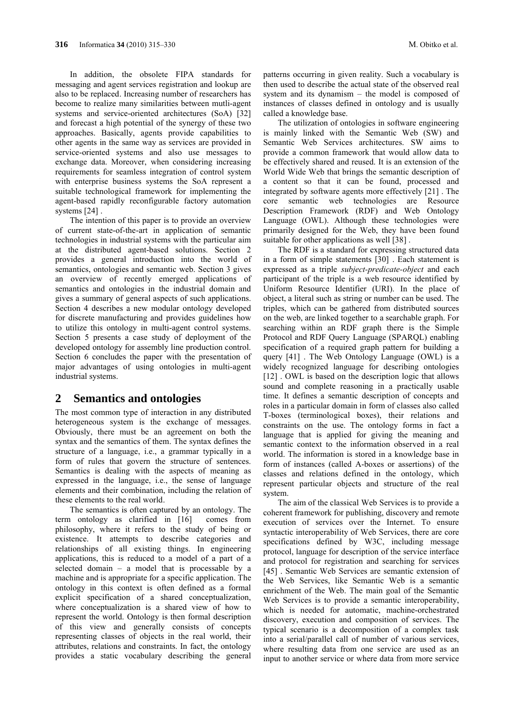In addition, the obsolete FIPA standards for messaging and agent services registration and lookup are also to be replaced. Increasing number of researchers has become to realize many similarities between mutli-agent systems and service-oriented architectures (SoA) [32] and forecast a high potential of the synergy of these two approaches. Basically, agents provide capabilities to other agents in the same way as services are provided in service-oriented systems and also use messages to exchange data. Moreover, when considering increasing requirements for seamless integration of control system with enterprise business systems the SoA represent a suitable technological framework for implementing the agent-based rapidly reconfigurable factory automation systems [24] .

The intention of this paper is to provide an overview of current state-of-the-art in application of semantic technologies in industrial systems with the particular aim at the distributed agent-based solutions. Section 2 provides a general introduction into the world of semantics, ontologies and semantic web. Section 3 gives an overview of recently emerged applications of semantics and ontologies in the industrial domain and gives a summary of general aspects of such applications. Section 4 describes a new modular ontology developed for discrete manufacturing and provides guidelines how to utilize this ontology in multi-agent control systems. Section 5 presents a case study of deployment of the developed ontology for assembly line production control. Section 6 concludes the paper with the presentation of major advantages of using ontologies in multi-agent industrial systems.

## **2 Semantics and ontologies**

The most common type of interaction in any distributed heterogeneous system is the exchange of messages. Obviously, there must be an agreement on both the syntax and the semantics of them. The syntax defines the structure of a language, i.e., a grammar typically in a form of rules that govern the structure of sentences. Semantics is dealing with the aspects of meaning as expressed in the language, i.e., the sense of language elements and their combination, including the relation of these elements to the real world.

The semantics is often captured by an ontology. The term ontology as clarified in [16] comes from philosophy, where it refers to the study of being or existence. It attempts to describe categories and relationships of all existing things. In engineering applications, this is reduced to a model of a part of a selected domain – a model that is processable by a machine and is appropriate for a specific application. The ontology in this context is often defined as a formal explicit specification of a shared conceptualization, where conceptualization is a shared view of how to represent the world. Ontology is then formal description of this view and generally consists of concepts representing classes of objects in the real world, their attributes, relations and constraints. In fact, the ontology provides a static vocabulary describing the general

called a knowledge base. The utilization of ontologies in software engineering is mainly linked with the Semantic Web (SW) and Semantic Web Services architectures. SW aims to provide a common framework that would allow data to be effectively shared and reused. It is an extension of the World Wide Web that brings the semantic description of a content so that it can be found, processed and integrated by software agents more effectively [21] . The core semantic web technologies are Resource Description Framework (RDF) and Web Ontology Language (OWL). Although these technologies were primarily designed for the Web, they have been found suitable for other applications as well [38] .

The RDF is a standard for expressing structured data in a form of simple statements [30] . Each statement is expressed as a triple *subject-predicate-object* and each participant of the triple is a web resource identified by Uniform Resource Identifier (URI). In the place of object, a literal such as string or number can be used. The triples, which can be gathered from distributed sources on the web, are linked together to a searchable graph. For searching within an RDF graph there is the Simple Protocol and RDF Query Language (SPARQL) enabling specification of a required graph pattern for building a query [41] . The Web Ontology Language (OWL) is a widely recognized language for describing ontologies [12] . OWL is based on the description logic that allows sound and complete reasoning in a practically usable time. It defines a semantic description of concepts and roles in a particular domain in form of classes also called T-boxes (terminological boxes), their relations and constraints on the use. The ontology forms in fact a language that is applied for giving the meaning and semantic context to the information observed in a real world. The information is stored in a knowledge base in form of instances (called A-boxes or assertions) of the classes and relations defined in the ontology, which represent particular objects and structure of the real system.

The aim of the classical Web Services is to provide a coherent framework for publishing, discovery and remote execution of services over the Internet. To ensure syntactic interoperability of Web Services, there are core specifications defined by W3C, including message protocol, language for description of the service interface and protocol for registration and searching for services [45] . Semantic Web Services are semantic extension of the Web Services, like Semantic Web is a semantic enrichment of the Web. The main goal of the Semantic Web Services is to provide a semantic interoperability, which is needed for automatic, machine-orchestrated discovery, execution and composition of services. The typical scenario is a decomposition of a complex task into a serial/parallel call of number of various services, where resulting data from one service are used as an input to another service or where data from more service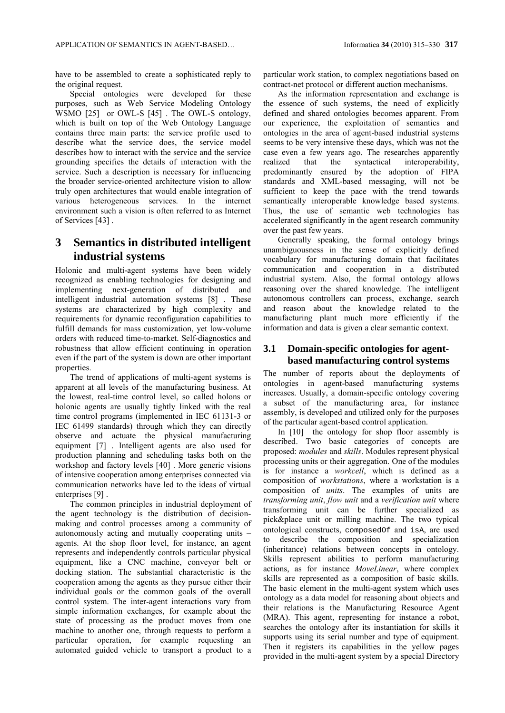have to be assembled to create a sophisticated reply to the original request.

Special ontologies were developed for these purposes, such as Web Service Modeling Ontology WSMO [25] or OWL-S [45]. The OWL-S ontology, which is built on top of the Web Ontology Language contains three main parts: the service profile used to describe what the service does, the service model describes how to interact with the service and the service grounding specifies the details of interaction with the service. Such a description is necessary for influencing the broader service-oriented architecture vision to allow truly open architectures that would enable integration of various heterogeneous services. In the internet environment such a vision is often referred to as Internet of Services [43] .

# **3 Semantics in distributed intelligent industrial systems**

Holonic and multi-agent systems have been widely recognized as enabling technologies for designing and implementing next-generation of distributed and intelligent industrial automation systems [8] . These systems are characterized by high complexity and requirements for dynamic reconfiguration capabilities to fulfill demands for mass customization, yet low-volume orders with reduced time-to-market. Self-diagnostics and robustness that allow efficient continuing in operation even if the part of the system is down are other important properties.

The trend of applications of multi-agent systems is apparent at all levels of the manufacturing business. At the lowest, real-time control level, so called holons or holonic agents are usually tightly linked with the real time control programs (implemented in IEC 61131-3 or IEC 61499 standards) through which they can directly observe and actuate the physical manufacturing equipment [7] . Intelligent agents are also used for production planning and scheduling tasks both on the workshop and factory levels [40] . More generic visions of intensive cooperation among enterprises connected via communication networks have led to the ideas of virtual enterprises [9] .

The common principles in industrial deployment of the agent technology is the distribution of decisionmaking and control processes among a community of autonomously acting and mutually cooperating units – agents. At the shop floor level, for instance, an agent represents and independently controls particular physical equipment, like a CNC machine, conveyor belt or docking station. The substantial characteristic is the cooperation among the agents as they pursue either their individual goals or the common goals of the overall control system. The inter-agent interactions vary from simple information exchanges, for example about the state of processing as the product moves from one machine to another one, through requests to perform a particular operation, for example requesting an automated guided vehicle to transport a product to a particular work station, to complex negotiations based on contract-net protocol or different auction mechanisms.

As the information representation and exchange is the essence of such systems, the need of explicitly defined and shared ontologies becomes apparent. From our experience, the exploitation of semantics and ontologies in the area of agent-based industrial systems seems to be very intensive these days, which was not the case even a few years ago. The researches apparently realized that the syntactical interoperability, predominantly ensured by the adoption of FIPA standards and XML-based messaging, will not be sufficient to keep the pace with the trend towards semantically interoperable knowledge based systems. Thus, the use of semantic web technologies has accelerated significantly in the agent research community over the past few years.

Generally speaking, the formal ontology brings unambiguousness in the sense of explicitly defined vocabulary for manufacturing domain that facilitates communication and cooperation in a distributed industrial system. Also, the formal ontology allows reasoning over the shared knowledge. The intelligent autonomous controllers can process, exchange, search and reason about the knowledge related to the manufacturing plant much more efficiently if the information and data is given a clear semantic context.

### **3.1 Domain-specific ontologies for agentbased manufacturing control systems**

The number of reports about the deployments of ontologies in agent-based manufacturing systems increases. Usually, a domain-specific ontology covering a subset of the manufacturing area, for instance assembly, is developed and utilized only for the purposes of the particular agent-based control application.

In [10] the ontology for shop floor assembly is described. Two basic categories of concepts are proposed: *modules* and *skills*. Modules represent physical processing units or their aggregation. One of the modules is for instance a *workcell*, which is defined as a composition of *workstations*, where a workstation is a composition of *units*. The examples of units are *transforming unit*, *flow unit* and a *verification unit* where transforming unit can be further specialized as pick&place unit or milling machine. The two typical ontological constructs, composedOf and isA, are used to describe the composition and specialization (inheritance) relations between concepts in ontology. Skills represent abilities to perform manufacturing actions, as for instance *MoveLinear*, where complex skills are represented as a composition of basic skills. The basic element in the multi-agent system which uses ontology as a data model for reasoning about objects and their relations is the Manufacturing Resource Agent (MRA). This agent, representing for instance a robot, searches the ontology after its instantiation for skills it supports using its serial number and type of equipment. Then it registers its capabilities in the yellow pages provided in the multi-agent system by a special Directory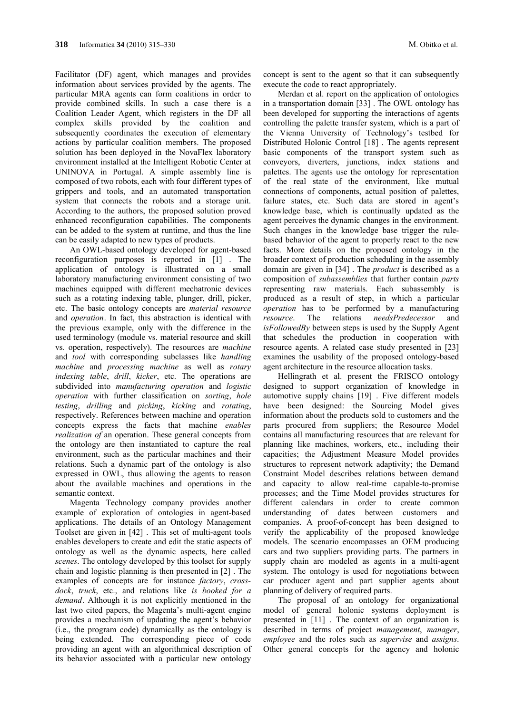Facilitator (DF) agent, which manages and provides information about services provided by the agents. The particular MRA agents can form coalitions in order to provide combined skills. In such a case there is a Coalition Leader Agent, which registers in the DF all complex skills provided by the coalition and subsequently coordinates the execution of elementary actions by particular coalition members. The proposed solution has been deployed in the NovaFlex laboratory environment installed at the Intelligent Robotic Center at UNINOVA in Portugal. A simple assembly line is composed of two robots, each with four different types of grippers and tools, and an automated transportation system that connects the robots and a storage unit. According to the authors, the proposed solution proved enhanced reconfiguration capabilities. The components can be added to the system at runtime, and thus the line can be easily adapted to new types of products.

An OWL-based ontology developed for agent-based reconfiguration purposes is reported in [1] . The application of ontology is illustrated on a small laboratory manufacturing environment consisting of two machines equipped with different mechatronic devices such as a rotating indexing table, plunger, drill, picker, etc. The basic ontology concepts are *material resource* and *operation*. In fact, this abstraction is identical with the previous example, only with the difference in the used terminology (module vs. material resource and skill vs. operation, respectively). The resources are *machine* and *tool* with corresponding subclasses like *handling machine* and *processing machine* as well as *rotary indexing table*, *drill*, *kicker*, etc. The operations are subdivided into *manufacturing operation* and *logistic operation* with further classification on *sorting*, *hole testing*, *drilling* and *picking*, *kicking* and *rotating*, respectively. References between machine and operation concepts express the facts that machine *enables realization of* an operation. These general concepts from the ontology are then instantiated to capture the real environment, such as the particular machines and their relations. Such a dynamic part of the ontology is also expressed in OWL, thus allowing the agents to reason about the available machines and operations in the semantic context.

Magenta Technology company provides another example of exploration of ontologies in agent-based applications. The details of an Ontology Management Toolset are given in [42] . This set of multi-agent tools enables developers to create and edit the static aspects of ontology as well as the dynamic aspects, here called *scenes*. The ontology developed by this toolset for supply chain and logistic planning is then presented in [2] . The examples of concepts are for instance *factory*, *crossdock*, *truck*, etc., and relations like *is booked for a demand*. Although it is not explicitly mentioned in the last two cited papers, the Magenta's multi-agent engine provides a mechanism of updating the agent's behavior (i.e., the program code) dynamically as the ontology is being extended. The corresponding piece of code providing an agent with an algorithmical description of its behavior associated with a particular new ontology

concept is sent to the agent so that it can subsequently execute the code to react appropriately.

Merdan et al. report on the application of ontologies in a transportation domain [33] . The OWL ontology has been developed for supporting the interactions of agents controlling the palette transfer system, which is a part of the Vienna University of Technology's testbed for Distributed Holonic Control [18] . The agents represent basic components of the transport system such as conveyors, diverters, junctions, index stations and palettes. The agents use the ontology for representation of the real state of the environment, like mutual connections of components, actual position of palettes, failure states, etc. Such data are stored in agent's knowledge base, which is continually updated as the agent perceives the dynamic changes in the environment. Such changes in the knowledge base trigger the rulebased behavior of the agent to properly react to the new facts. More details on the proposed ontology in the broader context of production scheduling in the assembly domain are given in [34] . The *product* is described as a composition of *subassemblies* that further contain *parts* representing raw materials. Each subassembly is produced as a result of step, in which a particular *operation* has to be performed by a manufacturing *resource*. The relations *needsPredecessor* and *isFollowedBy* between steps is used by the Supply Agent that schedules the production in cooperation with resource agents. A related case study presented in [23] examines the usability of the proposed ontology-based agent architecture in the resource allocation tasks.

Hellingrath et al. present the FRISCO ontology designed to support organization of knowledge in automotive supply chains [19] . Five different models have been designed: the Sourcing Model gives information about the products sold to customers and the parts procured from suppliers; the Resource Model contains all manufacturing resources that are relevant for planning like machines, workers, etc., including their capacities; the Adjustment Measure Model provides structures to represent network adaptivity; the Demand Constraint Model describes relations between demand and capacity to allow real-time capable-to-promise processes; and the Time Model provides structures for different calendars in order to create common understanding of dates between customers and companies. A proof-of-concept has been designed to verify the applicability of the proposed knowledge models. The scenario encompasses an OEM producing cars and two suppliers providing parts. The partners in supply chain are modeled as agents in a multi-agent system. The ontology is used for negotiations between car producer agent and part supplier agents about planning of delivery of required parts.

The proposal of an ontology for organizational model of general holonic systems deployment is presented in [11] . The context of an organization is described in terms of project *management*, *manager*, *employee* and the roles such as *supervise* and *assigns*. Other general concepts for the agency and holonic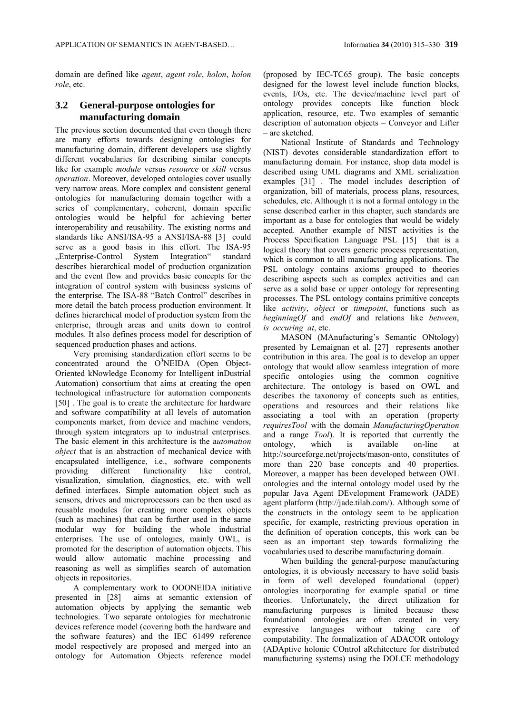domain are defined like *agent*, *agent role*, *holon*, *holon role*, etc.

#### **3.2 General-purpose ontologies for manufacturing domain**

The previous section documented that even though there are many efforts towards designing ontologies for manufacturing domain, different developers use slightly different vocabularies for describing similar concepts like for example *module* versus *resource* or *skill* versus *operation*. Moreover, developed ontologies cover usually very narrow areas. More complex and consistent general ontologies for manufacturing domain together with a series of complementary, coherent, domain specific ontologies would be helpful for achieving better interoperability and reusability. The existing norms and standards like ANSI/ISA-95 a ANSI/ISA-88 [3] could serve as a good basis in this effort. The ISA-95 ..Enterprise-Control System Integration" standard describes hierarchical model of production organization and the event flow and provides basic concepts for the integration of control system with business systems of the enterprise. The ISA-88 "Batch Control" describes in more detail the batch process production environment. It defines hierarchical model of production system from the enterprise, through areas and units down to control modules. It also defines process model for description of sequenced production phases and actions.

Very promising standardization effort seems to be concentrated around the O<sup>3</sup>NEIDA (Open Object-Oriented kNowledge Economy for Intelligent inDustrial Automation) consortium that aims at creating the open technological infrastructure for automation components [50]. The goal is to create the architecture for hardware and software compatibility at all levels of automation components market, from device and machine vendors, through system integrators up to industrial enterprises. The basic element in this architecture is the a*utomation object* that is an abstraction of mechanical device with encapsulated intelligence, i.e., software components providing different functionality like control, visualization, simulation, diagnostics, etc. with well defined interfaces. Simple automation object such as sensors, drives and microprocessors can be then used as reusable modules for creating more complex objects (such as machines) that can be further used in the same modular way for building the whole industrial enterprises. The use of ontologies, mainly OWL, is promoted for the description of automation objects. This would allow automatic machine processing and reasoning as well as simplifies search of automation objects in repositories.

A complementary work to OOONEIDA initiative presented in [28] aims at semantic extension of automation objects by applying the semantic web technologies. Two separate ontologies for mechatronic devices reference model (covering both the hardware and the software features) and the IEC 61499 reference model respectively are proposed and merged into an ontology for Automation Objects reference model (proposed by IEC-TC65 group). The basic concepts designed for the lowest level include function blocks, events, I/Os, etc. The device/machine level part of ontology provides concepts like function block application, resource, etc. Two examples of semantic description of automation objects – Conveyor and Lifter – are sketched.

National Institute of Standards and Technology (NIST) devotes considerable standardization effort to manufacturing domain. For instance, shop data model is described using UML diagrams and XML serialization examples [31] . The model includes description of organization, bill of materials, process plans, resources, schedules, etc. Although it is not a formal ontology in the sense described earlier in this chapter, such standards are important as a base for ontologies that would be widely accepted. Another example of NIST activities is the Process Specification Language PSL [15] that is a logical theory that covers generic process representation, which is common to all manufacturing applications. The PSL ontology contains axioms grouped to theories describing aspects such as complex activities and can serve as a solid base or upper ontology for representing processes. The PSL ontology contains primitive concepts like *activity*, *object* or *timepoint*, functions such as *beginningOf* and *endOf* and relations like *between*, *is\_occuring\_at*, etc.

MASON (MAnufacturing's Semantic ONtology) presented by Lemaignan et al. [27] represents another contribution in this area. The goal is to develop an upper ontology that would allow seamless integration of more specific ontologies using the common cognitive architecture. The ontology is based on OWL and describes the taxonomy of concepts such as entities, operations and resources and their relations like associating a tool with an operation (property *requiresTool* with the domain *ManufacturingOperation* and a range *Tool*). It is reported that currently the ontology, which is available on-line at http://sourceforge.net/projects/mason-onto, constitutes of more than 220 base concepts and 40 properties. Moreover, a mapper has been developed between OWL ontologies and the internal ontology model used by the popular Java Agent DEvelopment Framework (JADE) agent platform (http://jade.tilab.com/). Although some of the constructs in the ontology seem to be application specific, for example, restricting previous operation in the definition of operation concepts, this work can be seen as an important step towards formalizing the vocabularies used to describe manufacturing domain.

When building the general-purpose manufacturing ontologies, it is obviously necessary to have solid basis in form of well developed foundational (upper) ontologies incorporating for example spatial or time theories. Unfortunately, the direct utilization for manufacturing purposes is limited because these foundational ontologies are often created in very expressive languages without taking care of computability. The formalization of ADACOR ontology (ADAptive holonic COntrol aRchitecture for distributed manufacturing systems) using the DOLCE methodology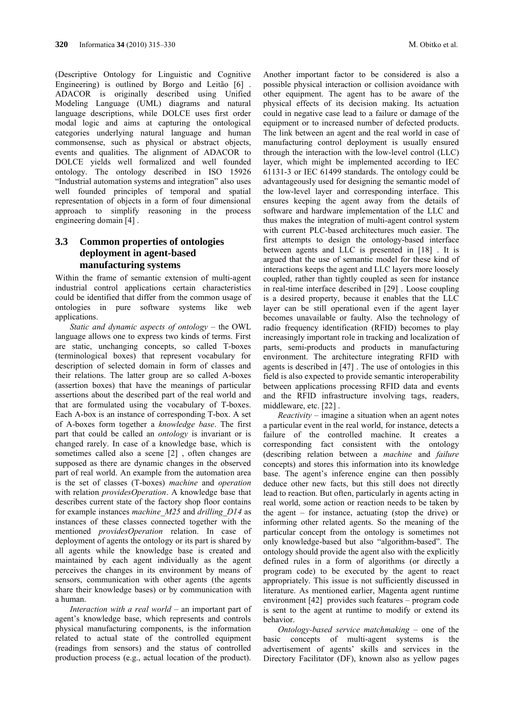(Descriptive Ontology for Linguistic and Cognitive Engineering) is outlined by Borgo and Leitão [6] . ADACOR is originally described using Unified Modeling Language (UML) diagrams and natural language descriptions, while DOLCE uses first order modal logic and aims at capturing the ontological categories underlying natural language and human commonsense, such as physical or abstract objects, events and qualities. The alignment of ADACOR to DOLCE yields well formalized and well founded ontology. The ontology described in ISO 15926 "Industrial automation systems and integration" also uses well founded principles of temporal and spatial representation of objects in a form of four dimensional approach to simplify reasoning in the process engineering domain [4] .

## **3.3 Common properties of ontologies deployment in agent-based manufacturing systems**

Within the frame of semantic extension of multi-agent industrial control applications certain characteristics could be identified that differ from the common usage of ontologies in pure software systems like web applications.

*Static and dynamic aspects of ontology* – the OWL language allows one to express two kinds of terms. First are static, unchanging concepts, so called T-boxes (terminological boxes) that represent vocabulary for description of selected domain in form of classes and their relations. The latter group are so called A-boxes (assertion boxes) that have the meanings of particular assertions about the described part of the real world and that are formulated using the vocabulary of T-boxes. Each A-box is an instance of corresponding T-box. A set of A-boxes form together a *knowledge base*. The first part that could be called an *ontology* is invariant or is changed rarely. In case of a knowledge base, which is sometimes called also a scene [2] , often changes are supposed as there are dynamic changes in the observed part of real world. An example from the automation area is the set of classes (T-boxes) *machine* and *operation* with relation *providesOperation*. A knowledge base that describes current state of the factory shop floor contains for example instances *machine\_M25* and *drilling\_D14* as instances of these classes connected together with the mentioned *providesOperation* relation. In case of deployment of agents the ontology or its part is shared by all agents while the knowledge base is created and maintained by each agent individually as the agent perceives the changes in its environment by means of sensors, communication with other agents (the agents share their knowledge bases) or by communication with a human.

*Interaction with a real world* – an important part of agent's knowledge base, which represents and controls physical manufacturing components, is the information related to actual state of the controlled equipment (readings from sensors) and the status of controlled production process (e.g., actual location of the product).

Another important factor to be considered is also a possible physical interaction or collision avoidance with other equipment. The agent has to be aware of the physical effects of its decision making. Its actuation could in negative case lead to a failure or damage of the equipment or to increased number of defected products. The link between an agent and the real world in case of manufacturing control deployment is usually ensured through the interaction with the low-level control (LLC) layer, which might be implemented according to IEC 61131-3 or IEC 61499 standards. The ontology could be advantageously used for designing the semantic model of the low-level layer and corresponding interface. This ensures keeping the agent away from the details of software and hardware implementation of the LLC and thus makes the integration of multi-agent control system with current PLC-based architectures much easier. The first attempts to design the ontology-based interface between agents and LLC is presented in [18] . It is argued that the use of semantic model for these kind of interactions keeps the agent and LLC layers more loosely coupled, rather than tightly coupled as seen for instance in real-time interface described in [29] . Loose coupling is a desired property, because it enables that the LLC layer can be still operational even if the agent layer becomes unavailable or faulty. Also the technology of radio frequency identification (RFID) becomes to play increasingly important role in tracking and localization of parts, semi-products and products in manufacturing environment. The architecture integrating RFID with agents is described in [47] . The use of ontologies in this field is also expected to provide semantic interoperability between applications processing RFID data and events and the RFID infrastructure involving tags, readers, middleware, etc. [22] .

*Reactivity* – imagine a situation when an agent notes a particular event in the real world, for instance, detects a failure of the controlled machine. It creates a corresponding fact consistent with the ontology (describing relation between a *machine* and *failure* concepts) and stores this information into its knowledge base. The agent's inference engine can then possibly deduce other new facts, but this still does not directly lead to reaction. But often, particularly in agents acting in real world, some action or reaction needs to be taken by the agent – for instance, actuating (stop the drive) or informing other related agents. So the meaning of the particular concept from the ontology is sometimes not only knowledge-based but also "algorithm-based". The ontology should provide the agent also with the explicitly defined rules in a form of algorithms (or directly a program code) to be executed by the agent to react appropriately. This issue is not sufficiently discussed in literature. As mentioned earlier, Magenta agent runtime environment [42] provides such features – program code is sent to the agent at runtime to modify or extend its behavior.

*Ontology-based service matchmaking* – one of the basic concepts of multi-agent systems is the advertisement of agents' skills and services in the Directory Facilitator (DF), known also as yellow pages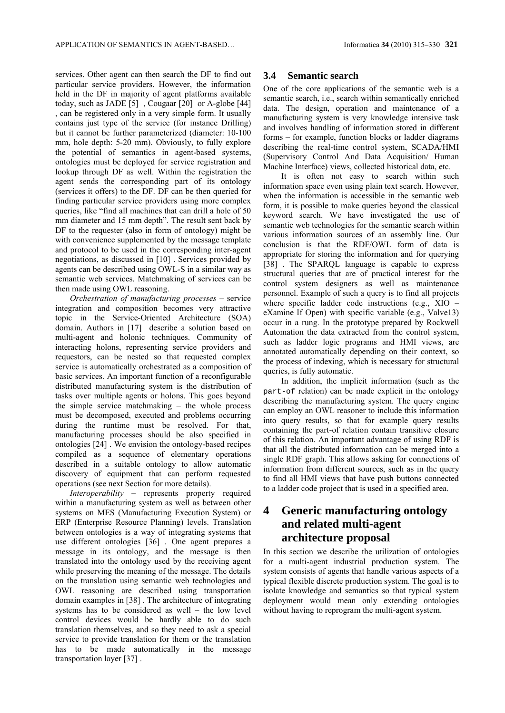services. Other agent can then search the DF to find out particular service providers. However, the information held in the DF in majority of agent platforms available today, such as JADE [5] , Cougaar [20] or A-globe [44] , can be registered only in a very simple form. It usually contains just type of the service (for instance Drilling) but it cannot be further parameterized (diameter: 10-100 mm, hole depth: 5-20 mm). Obviously, to fully explore the potential of semantics in agent-based systems, ontologies must be deployed for service registration and lookup through DF as well. Within the registration the agent sends the corresponding part of its ontology (services it offers) to the DF. DF can be then queried for finding particular service providers using more complex queries, like "find all machines that can drill a hole of 50 mm diameter and 15 mm depth". The result sent back by DF to the requester (also in form of ontology) might be with convenience supplemented by the message template and protocol to be used in the corresponding inter-agent negotiations, as discussed in [10] . Services provided by agents can be described using OWL-S in a similar way as semantic web services. Matchmaking of services can be then made using OWL reasoning.

*Orchestration of manufacturing processes* – service integration and composition becomes very attractive topic in the Service-Oriented Architecture (SOA) domain. Authors in [17] describe a solution based on multi-agent and holonic techniques. Community of interacting holons, representing service providers and requestors, can be nested so that requested complex service is automatically orchestrated as a composition of basic services. An important function of a reconfigurable distributed manufacturing system is the distribution of tasks over multiple agents or holons. This goes beyond the simple service matchmaking – the whole process must be decomposed, executed and problems occurring during the runtime must be resolved. For that, manufacturing processes should be also specified in ontologies [24] . We envision the ontology-based recipes compiled as a sequence of elementary operations described in a suitable ontology to allow automatic discovery of equipment that can perform requested operations (see next Section for more details).

*Interoperability* – represents property required within a manufacturing system as well as between other systems on MES (Manufacturing Execution System) or ERP (Enterprise Resource Planning) levels. Translation between ontologies is a way of integrating systems that use different ontologies [36] . One agent prepares a message in its ontology, and the message is then translated into the ontology used by the receiving agent while preserving the meaning of the message. The details on the translation using semantic web technologies and OWL reasoning are described using transportation domain examples in [38] . The architecture of integrating systems has to be considered as well – the low level control devices would be hardly able to do such translation themselves, and so they need to ask a special service to provide translation for them or the translation has to be made automatically in the message transportation layer [37] .

#### **3.4 Semantic search**

One of the core applications of the semantic web is a semantic search, i.e., search within semantically enriched data. The design, operation and maintenance of a manufacturing system is very knowledge intensive task and involves handling of information stored in different forms – for example, function blocks or ladder diagrams describing the real-time control system, SCADA/HMI (Supervisory Control And Data Acquisition/ Human Machine Interface) views, collected historical data, etc.

It is often not easy to search within such information space even using plain text search. However, when the information is accessible in the semantic web form, it is possible to make queries beyond the classical keyword search. We have investigated the use of semantic web technologies for the semantic search within various information sources of an assembly line. Our conclusion is that the RDF/OWL form of data is appropriate for storing the information and for querying [38] . The SPARQL language is capable to express structural queries that are of practical interest for the control system designers as well as maintenance personnel. Example of such a query is to find all projects where specific ladder code instructions (e.g., XIO – eXamine If Open) with specific variable (e.g., Valve13) occur in a rung. In the prototype prepared by Rockwell Automation the data extracted from the control system, such as ladder logic programs and HMI views, are annotated automatically depending on their context, so the process of indexing, which is necessary for structural queries, is fully automatic.

In addition, the implicit information (such as the part-of relation) can be made explicit in the ontology describing the manufacturing system. The query engine can employ an OWL reasoner to include this information into query results, so that for example query results containing the part-of relation contain transitive closure of this relation. An important advantage of using RDF is that all the distributed information can be merged into a single RDF graph. This allows asking for connections of information from different sources, such as in the query to find all HMI views that have push buttons connected to a ladder code project that is used in a specified area.

# **4 Generic manufacturing ontology and related multi-agent architecture proposal**

In this section we describe the utilization of ontologies for a multi-agent industrial production system. The system consists of agents that handle various aspects of a typical flexible discrete production system. The goal is to isolate knowledge and semantics so that typical system deployment would mean only extending ontologies without having to reprogram the multi-agent system.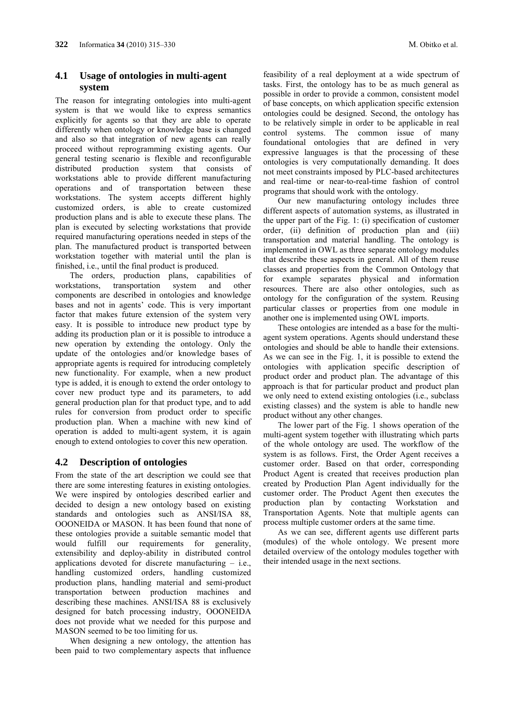### **4.1 Usage of ontologies in multi-agent system**

The reason for integrating ontologies into multi-agent system is that we would like to express semantics explicitly for agents so that they are able to operate differently when ontology or knowledge base is changed and also so that integration of new agents can really proceed without reprogramming existing agents. Our general testing scenario is flexible and reconfigurable distributed production system that consists of workstations able to provide different manufacturing operations and of transportation between these workstations. The system accepts different highly customized orders, is able to create customized production plans and is able to execute these plans. The plan is executed by selecting workstations that provide required manufacturing operations needed in steps of the plan. The manufactured product is transported between workstation together with material until the plan is finished, i.e., until the final product is produced.

The orders, production plans, capabilities of workstations, transportation system and other components are described in ontologies and knowledge bases and not in agents' code. This is very important factor that makes future extension of the system very easy. It is possible to introduce new product type by adding its production plan or it is possible to introduce a new operation by extending the ontology. Only the update of the ontologies and/or knowledge bases of appropriate agents is required for introducing completely new functionality. For example, when a new product type is added, it is enough to extend the order ontology to cover new product type and its parameters, to add general production plan for that product type, and to add rules for conversion from product order to specific production plan. When a machine with new kind of operation is added to multi-agent system, it is again enough to extend ontologies to cover this new operation.

### **4.2 Description of ontologies**

From the state of the art description we could see that there are some interesting features in existing ontologies. We were inspired by ontologies described earlier and decided to design a new ontology based on existing standards and ontologies such as ANSI/ISA 88, OOONEIDA or MASON. It has been found that none of these ontologies provide a suitable semantic model that would fulfill our requirements for generality, extensibility and deploy-ability in distributed control applications devoted for discrete manufacturing – i.e., handling customized orders, handling customized production plans, handling material and semi-product transportation between production machines and describing these machines. ANSI/ISA 88 is exclusively designed for batch processing industry, OOONEIDA does not provide what we needed for this purpose and MASON seemed to be too limiting for us.

When designing a new ontology, the attention has been paid to two complementary aspects that influence feasibility of a real deployment at a wide spectrum of tasks. First, the ontology has to be as much general as possible in order to provide a common, consistent model of base concepts, on which application specific extension ontologies could be designed. Second, the ontology has to be relatively simple in order to be applicable in real control systems. The common issue of many foundational ontologies that are defined in very expressive languages is that the processing of these ontologies is very computationally demanding. It does not meet constraints imposed by PLC-based architectures and real-time or near-to-real-time fashion of control programs that should work with the ontology.

Our new manufacturing ontology includes three different aspects of automation systems, as illustrated in the upper part of the Fig. 1: (i) specification of customer order, (ii) definition of production plan and (iii) transportation and material handling. The ontology is implemented in OWL as three separate ontology modules that describe these aspects in general. All of them reuse classes and properties from the Common Ontology that for example separates physical and information resources. There are also other ontologies, such as ontology for the configuration of the system. Reusing particular classes or properties from one module in another one is implemented using OWL imports.

These ontologies are intended as a base for the multiagent system operations. Agents should understand these ontologies and should be able to handle their extensions. As we can see in the Fig. 1, it is possible to extend the ontologies with application specific description of product order and product plan. The advantage of this approach is that for particular product and product plan we only need to extend existing ontologies (i.e., subclass existing classes) and the system is able to handle new product without any other changes.

The lower part of the Fig. 1 shows operation of the multi-agent system together with illustrating which parts of the whole ontology are used. The workflow of the system is as follows. First, the Order Agent receives a customer order. Based on that order, corresponding Product Agent is created that receives production plan created by Production Plan Agent individually for the customer order. The Product Agent then executes the production plan by contacting Workstation and Transportation Agents. Note that multiple agents can process multiple customer orders at the same time.

As we can see, different agents use different parts (modules) of the whole ontology. We present more detailed overview of the ontology modules together with their intended usage in the next sections.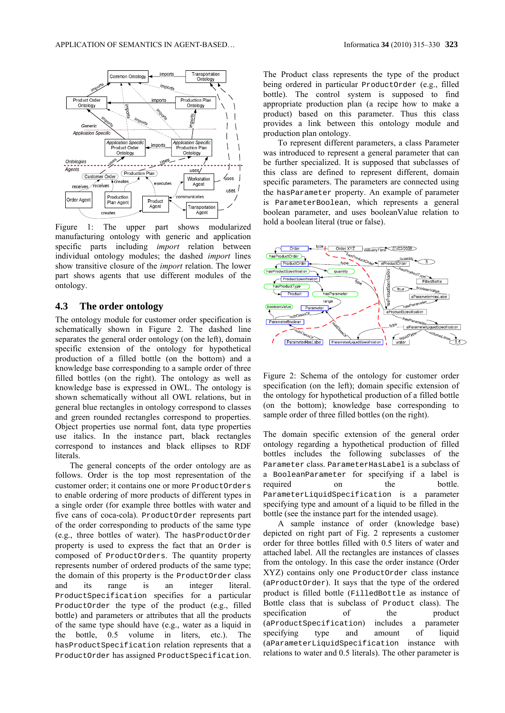

Figure 1: The upper part shows modularized manufacturing ontology with generic and application specific parts including *import* relation between individual ontology modules; the dashed *import* lines show transitive closure of the *import* relation. The lower part shows agents that use different modules of the ontology.

#### **4.3 The order ontology**

The ontology module for customer order specification is schematically shown in Figure 2. The dashed line separates the general order ontology (on the left), domain specific extension of the ontology for hypothetical production of a filled bottle (on the bottom) and a knowledge base corresponding to a sample order of three filled bottles (on the right). The ontology as well as knowledge base is expressed in OWL. The ontology is shown schematically without all OWL relations, but in general blue rectangles in ontology correspond to classes and green rounded rectangles correspond to properties. Object properties use normal font, data type properties use italics. In the instance part, black rectangles correspond to instances and black ellipses to RDF literals.

The general concepts of the order ontology are as follows. Order is the top most representation of the customer order; it contains one or more ProductOrders to enable ordering of more products of different types in a single order (for example three bottles with water and five cans of coca-cola). ProductOrder represents part of the order corresponding to products of the same type (e.g., three bottles of water). The hasProductOrder property is used to express the fact that an Order is composed of ProductOrders. The quantity property represents number of ordered products of the same type; the domain of this property is the ProductOrder class and its range is an integer literal. ProductSpecification specifies for a particular ProductOrder the type of the product (e.g., filled bottle) and parameters or attributes that all the products of the same type should have (e.g., water as a liquid in the bottle, 0.5 volume in liters, etc.). The hasProductSpecification relation represents that a ProductOrder has assigned ProductSpecification.

The Product class represents the type of the product being ordered in particular ProductOrder (e.g., filled bottle). The control system is supposed to find appropriate production plan (a recipe how to make a product) based on this parameter. Thus this class provides a link between this ontology module and production plan ontology.

To represent different parameters, a class Parameter was introduced to represent a general parameter that can be further specialized. It is supposed that subclasses of this class are defined to represent different, domain specific parameters. The parameters are connected using the hasParameter property. An example of parameter is ParameterBoolean, which represents a general boolean parameter, and uses booleanValue relation to hold a boolean literal (true or false).



Figure 2: Schema of the ontology for customer order specification (on the left); domain specific extension of the ontology for hypothetical production of a filled bottle (on the bottom); knowledge base corresponding to sample order of three filled bottles (on the right).

The domain specific extension of the general order ontology regarding a hypothetical production of filled bottles includes the following subclasses of the Parameter class. ParameterHasLabel is a subclass of a BooleanParameter for specifying if a label is required on the bottle. ParameterLiquidSpecification is a parameter specifying type and amount of a liquid to be filled in the bottle (see the instance part for the intended usage).

A sample instance of order (knowledge base) depicted on right part of Fig. 2 represents a customer order for three bottles filled with 0.5 liters of water and attached label. All the rectangles are instances of classes from the ontology. In this case the order instance (Order XYZ) contains only one ProductOrder class instance (aProductOrder). It says that the type of the ordered product is filled bottle (FilledBottle as instance of Bottle class that is subclass of Product class). The specification of the product (aProductSpecification) includes a parameter specifying type and amount of liquid (aParameterLiquidSpecification instance with relations to water and 0.5 literals). The other parameter is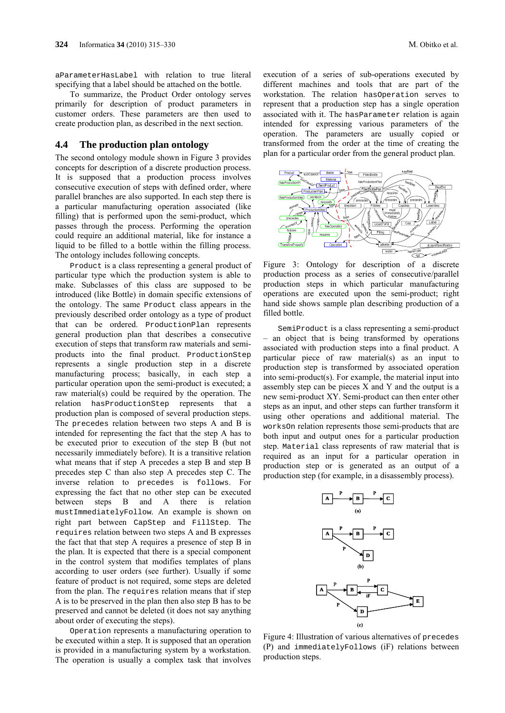aParameterHasLabel with relation to true literal specifying that a label should be attached on the bottle.

To summarize, the Product Order ontology serves primarily for description of product parameters in customer orders. These parameters are then used to create production plan, as described in the next section.

#### **4.4 The production plan ontology**

The second ontology module shown in Figure 3 provides concepts for description of a discrete production process. It is supposed that a production process involves consecutive execution of steps with defined order, where parallel branches are also supported. In each step there is a particular manufacturing operation associated (like filling) that is performed upon the semi-product, which passes through the process. Performing the operation could require an additional material, like for instance a liquid to be filled to a bottle within the filling process. The ontology includes following concepts.

Product is a class representing a general product of particular type which the production system is able to make. Subclasses of this class are supposed to be introduced (like Bottle) in domain specific extensions of the ontology. The same Product class appears in the previously described order ontology as a type of product that can be ordered. ProductionPlan represents general production plan that describes a consecutive execution of steps that transform raw materials and semiproducts into the final product. ProductionStep represents a single production step in a discrete manufacturing process; basically, in each step a particular operation upon the semi-product is executed; a raw material(s) could be required by the operation. The relation hasProductionStep represents that a production plan is composed of several production steps. The precedes relation between two steps A and B is intended for representing the fact that the step A has to be executed prior to execution of the step B (but not necessarily immediately before). It is a transitive relation what means that if step A precedes a step B and step B precedes step C than also step A precedes step C. The inverse relation to precedes is follows. For expressing the fact that no other step can be executed between steps B and A there is relation mustImmediatelyFollow. An example is shown on right part between CapStep and FillStep. The requires relation between two steps A and B expresses the fact that that step A requires a presence of step B in the plan. It is expected that there is a special component in the control system that modifies templates of plans according to user orders (see further). Usually if some feature of product is not required, some steps are deleted from the plan. The requires relation means that if step A is to be preserved in the plan then also step B has to be preserved and cannot be deleted (it does not say anything about order of executing the steps).

Operation represents a manufacturing operation to be executed within a step. It is supposed that an operation is provided in a manufacturing system by a workstation. The operation is usually a complex task that involves

execution of a series of sub-operations executed by different machines and tools that are part of the workstation. The relation hasOperation serves to represent that a production step has a single operation associated with it. The hasParameter relation is again intended for expressing various parameters of the operation. The parameters are usually copied or transformed from the order at the time of creating the plan for a particular order from the general product plan.



Figure 3: Ontology for description of a discrete production process as a series of consecutive/parallel production steps in which particular manufacturing operations are executed upon the semi-product; right hand side shows sample plan describing production of a filled bottle.

SemiProduct is a class representing a semi-product – an object that is being transformed by operations associated with production steps into a final product. A particular piece of raw material(s) as an input to production step is transformed by associated operation into semi-product(s). For example, the material input into assembly step can be pieces X and Y and the output is a new semi-product XY. Semi-product can then enter other steps as an input, and other steps can further transform it using other operations and additional material. The worksOn relation represents those semi-products that are both input and output ones for a particular production step. Material class represents of raw material that is required as an input for a particular operation in production step or is generated as an output of a production step (for example, in a disassembly process).



Figure 4: Illustration of various alternatives of precedes (P) and immediatelyFollows (iF) relations between production steps.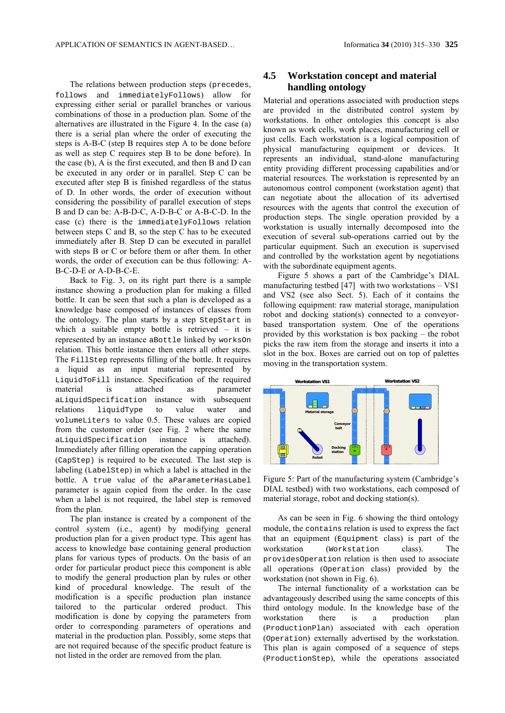The relations between production steps (precedes, follows and immediatelyFollows) allow for expressing either serial or parallel branches or various combinations of those in a production plan. Some of the alternatives are illustrated in the Figure 4. In the case (a) there is a serial plan where the order of executing the steps is A-B-C (step B requires step A to be done before as well as step C requires step B to be done before). In the case (b), A is the first executed, and then B and D can be executed in any order or in parallel. Step C can be executed after step B is finished regardless of the status of D. In other words, the order of execution without considering the possibility of parallel execution of steps B and D can be: A-B-D-C, A-D-B-C or A-B-C-D. In the case (c) there is the immediatelyFollows relation between steps C and B, so the step C has to be executed immediately after B. Step D can be executed in parallel with steps B or C or before them or after them. In other words, the order of execution can be thus following: A-B-C-D-E or A-D-B-C-E.

Back to Fig. 3, on its right part there is a sample instance showing a production plan for making a filled bottle. It can be seen that such a plan is developed as a knowledge base composed of instances of classes from the ontology. The plan starts by a step StepStart in which a suitable empty bottle is retrieved – it is represented by an instance aBottle linked by worksOn relation. This bottle instance then enters all other steps. The Fillstep represents filling of the bottle. It requires a liquid as an input material represented by LiquidToFill instance. Specification of the required material is attached as parameter aLiquidSpecification instance with subsequent relations liquidType to value water and volumeLiters to value 0.5. These values are copied from the customer order (see Fig. 2 where the same aLiquidSpecification instance is attached). Immediately after filling operation the capping operation (CapStep) is required to be executed. The last step is labeling (LabelStep) in which a label is attached in the bottle. A true value of the aParameterHasLabel parameter is again copied from the order. In the case when a label is not required, the label step is removed from the plan.

The plan instance is created by a component of the control system (i.e., agent) by modifying general production plan for a given product type. This agent has access to knowledge base containing general production plans for various types of products. On the basis of an order for particular product piece this component is able to modify the general production plan by rules or other kind of procedural knowledge. The result of the modification is a specific production plan instance tailored to the particular ordered product. This modification is done by copying the parameters from order to corresponding parameters of operations and material in the production plan. Possibly, some steps that are not required because of the specific product feature is not listed in the order are removed from the plan.

### **4.5 Workstation concept and material handling ontology**

Material and operations associated with production steps are provided in the distributed control system by workstations. In other ontologies this concept is also known as work cells, work places, manufacturing cell or just cells. Each workstation is a logical composition of physical manufacturing equipment or devices. It represents an individual, stand-alone manufacturing entity providing different processing capabilities and/or material resources. The workstation is represented by an autonomous control component (workstation agent) that can negotiate about the allocation of its advertised resources with the agents that control the execution of production steps. The single operation provided by a workstation is usually internally decomposed into the execution of several sub-operations carried out by the particular equipment. Such an execution is supervised and controlled by the workstation agent by negotiations with the subordinate equipment agents.

Figure 5 shows a part of the Cambridge's DIAL manufacturing testbed [47] with two workstations – VS1 and VS2 (see also Sect. 5). Each of it contains the following equipment: raw material storage, manipulation robot and docking station(s) connected to a conveyorbased transportation system. One of the operations provided by this workstation is box packing – the robot picks the raw item from the storage and inserts it into a slot in the box. Boxes are carried out on top of palettes moving in the transportation system.



Figure 5: Part of the manufacturing system (Cambridge's DIAL testbed) with two workstations, each composed of material storage, robot and docking station(s).

As can be seen in Fig. 6 showing the third ontology module, the contains relation is used to express the fact that an equipment (Equipment class) is part of the workstation (Workstation class). The providesOperation relation is then used to associate all operations (Operation class) provided by the workstation (not shown in Fig. 6).

The internal functionality of a workstation can be advantageously described using the same concepts of this third ontology module. In the knowledge base of the workstation there is a production plan (ProductionPlan) associated with each operation (Operation) externally advertised by the workstation. This plan is again composed of a sequence of steps (ProductionStep), while the operations associated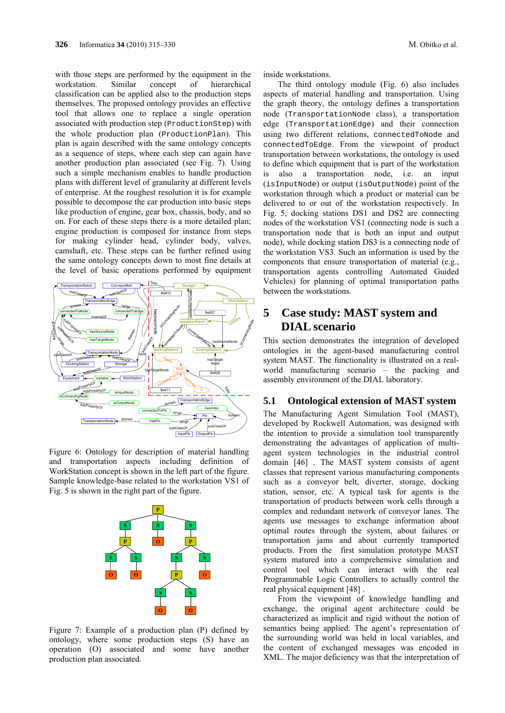with those steps are performed by the equipment in the workstation. Similar concept of hierarchical classification can be applied also to the production steps themselves. The proposed ontology provides an effective tool that allows one to replace a single operation associated with production step (ProductionStep) with the whole production plan (ProductionPlan). This plan is again described with the same ontology concepts as a sequence of steps, where each step can again have another production plan associated (see Fig. 7). Using such a simple mechanism enables to handle production plans with different level of granularity at different levels of enterprise. At the roughest resolution it is for example possible to decompose the car production into basic steps like production of engine, gear box, chassis, body, and so on. For each of these steps there is a more detailed plan; engine production is composed for instance from steps for making cylinder head, cylinder body, valves, camshaft, etc. These steps can be further refined using the same ontology concepts down to most fine details at the level of basic operations performed by equipment



Figure 6: Ontology for description of material handling and transportation aspects including definition of WorkStation concept is shown in the left part of the figure. Sample knowledge-base related to the workstation VS1 of Fig. 5 is shown in the right part of the figure.



Figure 7: Example of a production plan (P) defined by ontology, where some production steps (S) have an operation (O) associated and some have another production plan associated.

inside workstations.

The third ontology module (Fig. 6) also includes aspects of material handling and transportation. Using the graph theory, the ontology defines a transportation node (TransportationNode class), a transportation edge (TransportationEdge) and their connection using two different relations, connectedToNode and connectedToEdge. From the viewpoint of product transportation between workstations, the ontology is used to define which equipment that is part of the workstation is also a transportation node, i.e. an input (isInputNode) or output (isOutputNode) point of the workstation through which a product or material can be delivered to or out of the workstation respectively. In Fig. 5, docking stations DS1 and DS2 are connecting nodes of the workstation VS1 (connecting node is such a transportation node that is both an input and output node), while docking station DS3 is a connecting node of the workstation VS3. Such an information is used by the components that ensure transportation of material (e.g., transportation agents controlling Automated Guided Vehicles) for planning of optimal transportation paths between the workstations.

# **5 Case study: MAST system and DIAL scenario**

This section demonstrates the integration of developed ontologies in the agent-based manufacturing control system MAST. The functionality is illustrated on a realworld manufacturing scenario – the packing and assembly environment of the DIAL laboratory.

#### **5.1 Ontological extension of MAST system**

The Manufacturing Agent Simulation Tool (MAST), developed by Rockwell Automation, was designed with the intention to provide a simulation tool transparently demonstrating the advantages of application of multiagent system technologies in the industrial control domain [46] . The MAST system consists of agent classes that represent various manufacturing components such as a conveyor belt, diverter, storage, docking station, sensor, etc. A typical task for agents is the transportation of products between work cells through a complex and redundant network of conveyor lanes. The agents use messages to exchange information about optimal routes through the system, about failures or transportation jams and about currently transported products. From the first simulation prototype MAST system matured into a comprehensive simulation and control tool which can interact with the real Programmable Logic Controllers to actually control the real physical equipment [48] .

From the viewpoint of knowledge handling and exchange, the original agent architecture could be characterized as implicit and rigid without the notion of semantics being applied. The agent's representation of the surrounding world was held in local variables, and the content of exchanged messages was encoded in XML. The major deficiency was that the interpretation of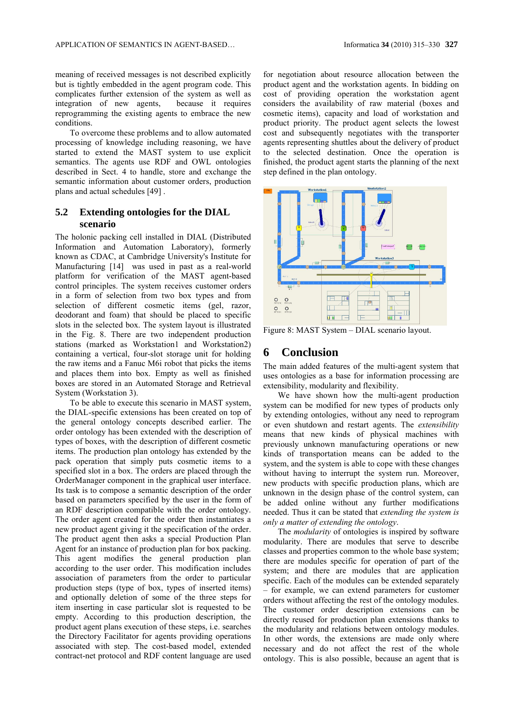meaning of received messages is not described explicitly but is tightly embedded in the agent program code. This complicates further extension of the system as well as integration of new agents, because it requires reprogramming the existing agents to embrace the new conditions.

To overcome these problems and to allow automated processing of knowledge including reasoning, we have started to extend the MAST system to use explicit semantics. The agents use RDF and OWL ontologies described in Sect. 4 to handle, store and exchange the semantic information about customer orders, production plans and actual schedules [49] .

### **5.2 Extending ontologies for the DIAL scenario**

The holonic packing cell installed in DIAL (Distributed Information and Automation Laboratory), formerly known as CDAC, at Cambridge University's Institute for Manufacturing [14] was used in past as a real-world platform for verification of the MAST agent-based control principles. The system receives customer orders in a form of selection from two box types and from selection of different cosmetic items (gel, razor, deodorant and foam) that should be placed to specific slots in the selected box. The system layout is illustrated in the Fig. 8. There are two independent production stations (marked as Workstation1 and Workstation2) containing a vertical, four-slot storage unit for holding the raw items and a Fanuc M6i robot that picks the items and places them into box. Empty as well as finished boxes are stored in an Automated Storage and Retrieval System (Workstation 3).

To be able to execute this scenario in MAST system, the DIAL-specific extensions has been created on top of the general ontology concepts described earlier. The order ontology has been extended with the description of types of boxes, with the description of different cosmetic items. The production plan ontology has extended by the pack operation that simply puts cosmetic items to a specified slot in a box. The orders are placed through the OrderManager component in the graphical user interface. Its task is to compose a semantic description of the order based on parameters specified by the user in the form of an RDF description compatible with the order ontology. The order agent created for the order then instantiates a new product agent giving it the specification of the order. The product agent then asks a special Production Plan Agent for an instance of production plan for box packing. This agent modifies the general production plan according to the user order. This modification includes association of parameters from the order to particular production steps (type of box, types of inserted items) and optionally deletion of some of the three steps for item inserting in case particular slot is requested to be empty. According to this production description, the product agent plans execution of these steps, i.e. searches the Directory Facilitator for agents providing operations associated with step. The cost-based model, extended contract-net protocol and RDF content language are used for negotiation about resource allocation between the product agent and the workstation agents. In bidding on cost of providing operation the workstation agent considers the availability of raw material (boxes and cosmetic items), capacity and load of workstation and product priority. The product agent selects the lowest cost and subsequently negotiates with the transporter agents representing shuttles about the delivery of product to the selected destination. Once the operation is finished, the product agent starts the planning of the next step defined in the plan ontology.



Figure 8: MAST System – DIAL scenario layout.

## **6 Conclusion**

The main added features of the multi-agent system that uses ontologies as a base for information processing are extensibility, modularity and flexibility.

We have shown how the multi-agent production system can be modified for new types of products only by extending ontologies, without any need to reprogram or even shutdown and restart agents. The *extensibility* means that new kinds of physical machines with previously unknown manufacturing operations or new kinds of transportation means can be added to the system, and the system is able to cope with these changes without having to interrupt the system run. Moreover, new products with specific production plans, which are unknown in the design phase of the control system, can be added online without any further modifications needed. Thus it can be stated that *extending the system is only a matter of extending the ontology*.

The *modularity* of ontologies is inspired by software modularity. There are modules that serve to describe classes and properties common to the whole base system; there are modules specific for operation of part of the system; and there are modules that are application specific. Each of the modules can be extended separately – for example, we can extend parameters for customer orders without affecting the rest of the ontology modules. The customer order description extensions can be directly reused for production plan extensions thanks to the modularity and relations between ontology modules. In other words, the extensions are made only where necessary and do not affect the rest of the whole ontology. This is also possible, because an agent that is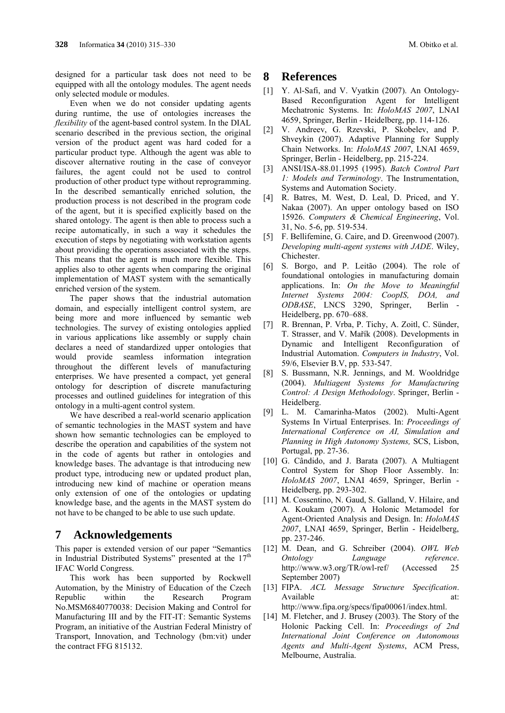designed for a particular task does not need to be equipped with all the ontology modules. The agent needs only selected module or modules.

Even when we do not consider updating agents during runtime, the use of ontologies increases the *flexibility* of the agent-based control system. In the DIAL scenario described in the previous section, the original version of the product agent was hard coded for a particular product type. Although the agent was able to discover alternative routing in the case of conveyor failures, the agent could not be used to control production of other product type without reprogramming. In the described semantically enriched solution, the production process is not described in the program code of the agent, but it is specified explicitly based on the shared ontology. The agent is then able to process such a recipe automatically, in such a way it schedules the execution of steps by negotiating with workstation agents about providing the operations associated with the steps. This means that the agent is much more flexible. This applies also to other agents when comparing the original implementation of MAST system with the semantically enriched version of the system.

The paper shows that the industrial automation domain, and especially intelligent control system, are being more and more influenced by semantic web technologies. The survey of existing ontologies applied in various applications like assembly or supply chain declares a need of standardized upper ontologies that would provide seamless information integration throughout the different levels of manufacturing enterprises. We have presented a compact, yet general ontology for description of discrete manufacturing processes and outlined guidelines for integration of this ontology in a multi-agent control system.

We have described a real-world scenario application of semantic technologies in the MAST system and have shown how semantic technologies can be employed to describe the operation and capabilities of the system not in the code of agents but rather in ontologies and knowledge bases. The advantage is that introducing new product type, introducing new or updated product plan, introducing new kind of machine or operation means only extension of one of the ontologies or updating knowledge base, and the agents in the MAST system do not have to be changed to be able to use such update.

## **7 Acknowledgements**

This paper is extended version of our paper "Semantics in Industrial Distributed Systems" presented at the  $17<sup>th</sup>$ IFAC World Congress.

This work has been supported by Rockwell Automation, by the Ministry of Education of the Czech Republic within the Research Program No.MSM6840770038: Decision Making and Control for Manufacturing III and by the FIT-IT: Semantic Systems Program, an initiative of the Austrian Federal Ministry of Transport, Innovation, and Technology (bm:vit) under the contract FFG 815132.

### **8 References**

- [1] Y. Al-Safi, and V. Vyatkin (2007). An Ontology-Based Reconfiguration Agent for Intelligent Mechatronic Systems. In: *HoloMAS 2007*, LNAI 4659, Springer, Berlin - Heidelberg, pp. 114-126.
- [2] V. Andreev, G. Rzevski, P. Skobelev, and P. Shveykin (2007). Adaptive Planning for Supply Chain Networks. In: *HoloMAS 2007*, LNAI 4659, Springer, Berlin - Heidelberg, pp. 215-224.
- [3] ANSI/ISA-88.01.1995 (1995). *Batch Control Part 1: Models and Terminology*. The Instrumentation, Systems and Automation Society.
- [4] R. Batres, M. West, D. Leal, D. Priced, and Y. Nakaa (2007). An upper ontology based on ISO 15926. *Computers & Chemical Engineering*, Vol. 31, No. 5-6, pp. 519-534.
- [5] F. Bellifemine, G. Caire, and D. Greenwood (2007). *Developing multi-agent systems with JADE*. Wiley, Chichester.
- [6] S. Borgo, and P. Leitão (2004). The role of foundational ontologies in manufacturing domain applications. In: *On the Move to Meaningful Internet Systems 2004: CoopIS, DOA, and ODBASE*, LNCS 3290, Springer, Berlin - Heidelberg, pp. 670–688.
- [7] R. Brennan, P. Vrba, P. Tichy, A. Zoitl, C. Sünder, T. Strasser, and V. Mařík (2008). Developments in Dynamic and Intelligent Reconfiguration of Industrial Automation. *Computers in Industry*, Vol. 59/6, Elsevier B.V, pp. 533-547.
- [8] S. Bussmann, N.R. Jennings, and M. Wooldridge (2004). *Multiagent Systems for Manufacturing Control: A Design Methodology*. Springer, Berlin - Heidelberg.
- [9] L. M. Camarinha-Matos (2002). Multi-Agent Systems In Virtual Enterprises. In: *Proceedings of International Conference on AI, Simulation and Planning in High Autonomy Systems,* SCS, Lisbon, Portugal, pp. 27-36.
- [10] G. Cândido, and J. Barata (2007). A Multiagent Control System for Shop Floor Assembly. In: *HoloMAS 2007*, LNAI 4659, Springer, Berlin - Heidelberg, pp. 293-302.
- [11] M. Cossentino, N. Gaud, S. Galland, V. Hilaire, and A. Koukam (2007). A Holonic Metamodel for Agent-Oriented Analysis and Design. In: *HoloMAS 2007*, LNAI 4659, Springer, Berlin - Heidelberg, pp. 237-246.
- [12] M. Dean, and G. Schreiber (2004). *OWL Web Ontology Language reference*. http://www.w3.org/TR/owl-ref/ (Accessed 25 September 2007)
- [13] FIPA. *ACL Message Structure Specification*. Available at: http://www.fipa.org/specs/fipa00061/index.html.
- [14] M. Fletcher, and J. Brusey (2003). The Story of the Holonic Packing Cell. In: *Proceedings of 2nd International Joint Conference on Autonomous Agents and Multi-Agent Systems*, ACM Press, Melbourne, Australia.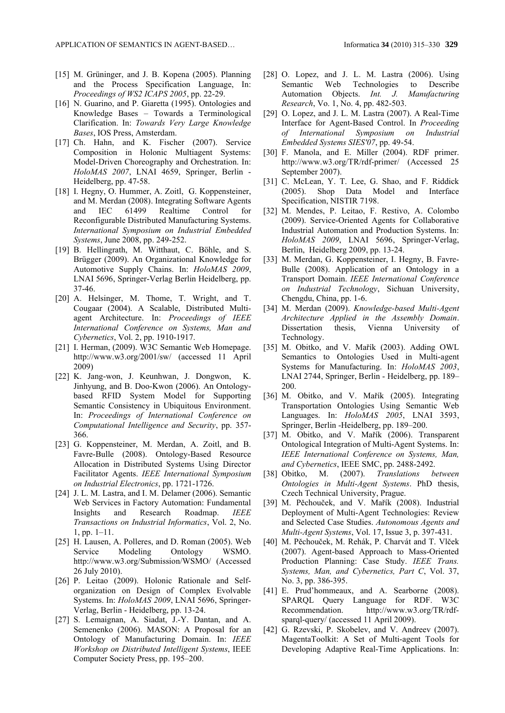- [15] M. Grüninger, and J. B. Kopena (2005). Planning and the Process Specification Language, In: *Proceedings of WS2 ICAPS 2005*, pp. 22-29.
- [16] N. Guarino, and P. Giaretta (1995). Ontologies and Knowledge Bases – Towards a Terminological Clarification. In: *Towards Very Large Knowledge Bases*, IOS Press, Amsterdam.
- [17] Ch. Hahn, and K. Fischer (2007). Service Composition in Holonic Multiagent Systems: Model-Driven Choreography and Orchestration. In: *HoloMAS 2007*, LNAI 4659, Springer, Berlin - Heidelberg, pp. 47-58.
- [18] I. Hegny, O. Hummer, A. Zoitl, G. Koppensteiner, and M. Merdan (2008). Integrating Software Agents and IEC 61499 Realtime Control for Reconfigurable Distributed Manufacturing Systems. *International Symposium on Industrial Embedded Systems*, June 2008, pp. 249-252.
- [19] B. Hellingrath, M. Witthaut, C. Böhle, and S. Brügger (2009). An Organizational Knowledge for Automotive Supply Chains. In: *HoloMAS 2009*, LNAI 5696, Springer-Verlag Berlin Heidelberg, pp. 37-46.
- [20] A. Helsinger, M. Thome, T. Wright, and T. Cougaar (2004). A Scalable, Distributed Multiagent Architecture. In: *Proceedings of IEEE International Conference on Systems, Man and Cybernetics*, Vol. 2, pp. 1910-1917.
- [21] I. Herman, (2009). W3C Semantic Web Homepage. http://www.w3.org/2001/sw/ (accessed 11 April 2009)
- [22] K. Jang-won, J. Keunhwan, J. Dongwon, K. Jinhyung, and B. Doo-Kwon (2006). An Ontologybased RFID System Model for Supporting Semantic Consistency in Ubiquitous Environment. In: *Proceedings of International Conference on Computational Intelligence and Security*, pp. 357- 366.
- [23] G. Koppensteiner, M. Merdan, A. Zoitl, and B. Favre-Bulle (2008). Ontology-Based Resource Allocation in Distributed Systems Using Director Facilitator Agents. *IEEE International Symposium on Industrial Electronics*, pp. 1721-1726.
- [24] J. L. M. Lastra, and I. M. Delamer (2006). Semantic Web Services in Factory Automation: Fundamental Insights and Research Roadmap. *IEEE Transactions on Industrial Informatics*, Vol. 2, No. 1, pp. 1–11.
- [25] H. Lausen, A. Polleres, and D. Roman (2005). Web Service Modeling Ontology WSMO. http://www.w3.org/Submission/WSMO/ (Accessed 26 July 2010).
- [26] P. Leitao (2009). Holonic Rationale and Selforganization on Design of Complex Evolvable Systems. In: *HoloMAS 2009*, LNAI 5696, Springer-Verlag, Berlin - Heidelberg, pp. 13-24.
- [27] S. Lemaignan, A. Siadat, J.-Y. Dantan, and A. Semenenko (2006). MASON: A Proposal for an Ontology of Manufacturing Domain. In: *IEEE Workshop on Distributed Intelligent Systems*, IEEE Computer Society Press, pp. 195–200.
- [28] O. Lopez, and J. L. M. Lastra (2006). Using Semantic Web Technologies to Describe Automation Objects. *Int. J. Manufacturing Research*, Vo. 1, No. 4, pp. 482-503.
- [29] O. Lopez, and J. L. M. Lastra (2007). A Real-Time Interface for Agent-Based Control. In *Proceeding of International Symposium on Industrial Embedded Systems SIES'07*, pp. 49-54.
- [30] F. Manola, and E. Miller (2004). RDF primer. http://www.w3.org/TR/rdf-primer/ (Accessed 25 September 2007).
- [31] C. McLean, Y. T. Lee, G. Shao, and F. Riddick (2005). Shop Data Model and Interface Specification, NISTIR 7198.
- [32] M. Mendes, P. Leitao, F. Restivo, A. Colombo (2009). Service-Oriented Agents for Collaborative Industrial Automation and Production Systems. In: *HoloMAS 2009*, LNAI 5696, Springer-Verlag, Berlin, Heidelberg 2009, pp. 13-24.
- [33] M. Merdan, G. Koppensteiner, I. Hegny, B. Favre-Bulle (2008). Application of an Ontology in a Transport Domain. *IEEE International Conference on Industrial Technology*, Sichuan University, Chengdu, China, pp. 1-6.
- [34] M. Merdan (2009). *Knowledge-based Multi-Agent Architecture Applied in the Assembly Domain*. Dissertation thesis, Vienna University of Technology.
- [35] M. Obitko, and V. Mařík (2003). Adding OWL Semantics to Ontologies Used in Multi-agent Systems for Manufacturing. In: *HoloMAS 2003*, LNAI 2744, Springer, Berlin - Heidelberg, pp. 189– 200.
- [36] M. Obitko, and V. Mařík (2005). Integrating Transportation Ontologies Using Semantic Web Languages. In: *HoloMAS 2005*, LNAI 3593, Springer, Berlin -Heidelberg, pp. 189–200.
- [37] M. Obitko, and V. Mařík (2006). Transparent Ontological Integration of Multi-Agent Systems. In: *IEEE International Conference on Systems, Man, and Cybernetics*, IEEE SMC, pp. 2488-2492.
- [38] Obitko, M. (2007). *Translations between Ontologies in Multi-Agent Systems*. PhD thesis, Czech Technical University, Prague.
- [39] M. Pěchouček, and V. Mařík (2008). Industrial Deployment of Multi-Agent Technologies: Review and Selected Case Studies. *Autonomous Agents and Multi-Agent Systems*, Vol. 17, Issue 3, p. 397-431.
- [40] M. Pěchouček, M. Rehák, P. Charvát and T. Vlček (2007). Agent-based Approach to Mass-Oriented Production Planning: Case Study. *IEEE Trans. Systems, Man, and Cybernetics, Part C*, Vol. 37, No. 3, pp. 386-395.
- [41] E. Prud'hommeaux, and A. Searborne (2008). SPARQL Query Language for RDF. W3C Recommendation. http://www.w3.org/TR/rdfsparql-query/ (accessed 11 April 2009).
- [42] G. Rzevski, P. Skobelev, and V. Andreev (2007). MagentaToolkit: A Set of Multi-agent Tools for Developing Adaptive Real-Time Applications. In: